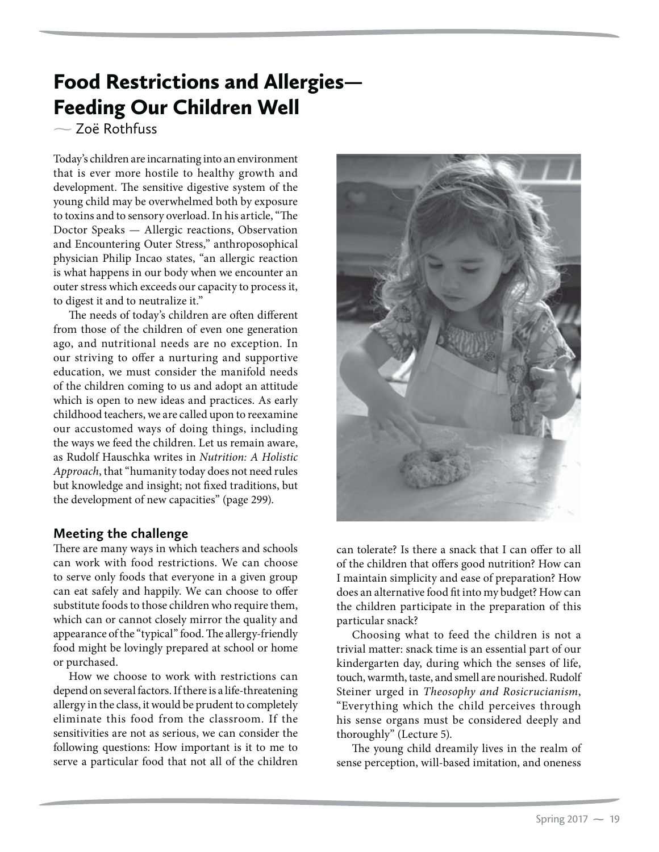# Food Restrictions and Allergies— Feeding Our Children Well

- Zoë Rothfuss

Today's children are incarnating into an environment that is ever more hostile to healthy growth and development. The sensitive digestive system of the young child may be overwhelmed both by exposure to toxins and to sensory overload. In his article, "The Doctor Speaks — Allergic reactions, Observation and Encountering Outer Stress," anthroposophical physician Philip Incao states, "an allergic reaction is what happens in our body when we encounter an outer stress which exceeds our capacity to process it, to digest it and to neutralize it."

The needs of today's children are often different from those of the children of even one generation ago, and nutritional needs are no exception. In our striving to offer a nurturing and supportive education, we must consider the manifold needs of the children coming to us and adopt an attitude which is open to new ideas and practices. As early childhood teachers, we are called upon to reexamine our accustomed ways of doing things, including the ways we feed the children. Let us remain aware, as Rudolf Hauschka writes in *Nutrition: A Holistic Approach*, that "humanity today does not need rules but knowledge and insight; not fixed traditions, but the development of new capacities" (page 299).

## **Meeting the challenge**

There are many ways in which teachers and schools can work with food restrictions. We can choose to serve only foods that everyone in a given group can eat safely and happily. We can choose to offer substitute foods to those children who require them, which can or cannot closely mirror the quality and appearance of the "typical" food. The allergy-friendly food might be lovingly prepared at school or home or purchased.

How we choose to work with restrictions can depend on several factors. If there is a life-threatening allergy in the class, it would be prudent to completely eliminate this food from the classroom. If the sensitivities are not as serious, we can consider the following questions: How important is it to me to serve a particular food that not all of the children



can tolerate? Is there a snack that I can offer to all of the children that offers good nutrition? How can I maintain simplicity and ease of preparation? How does an alternative food fit into my budget? How can the children participate in the preparation of this particular snack?

Choosing what to feed the children is not a trivial matter: snack time is an essential part of our kindergarten day, during which the senses of life, touch, warmth, taste, and smell are nourished. Rudolf Steiner urged in *Theosophy and Rosicrucianism*, "Everything which the child perceives through his sense organs must be considered deeply and thoroughly" (Lecture 5).

The young child dreamily lives in the realm of sense perception, will-based imitation, and oneness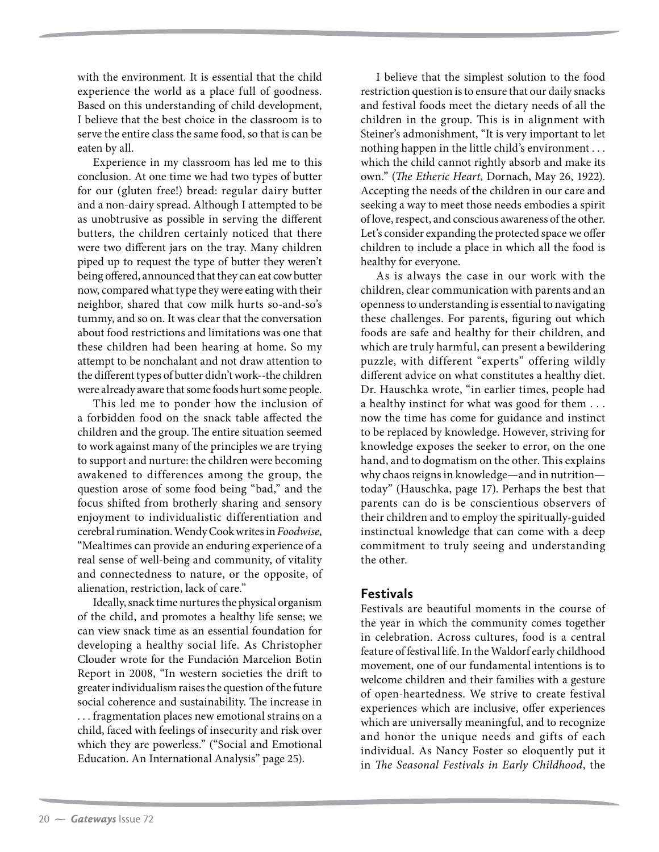with the environment. It is essential that the child experience the world as a place full of goodness. Based on this understanding of child development, I believe that the best choice in the classroom is to serve the entire class the same food, so that is can be eaten by all.

Experience in my classroom has led me to this conclusion. At one time we had two types of butter for our (gluten free!) bread: regular dairy butter and a non-dairy spread. Although I attempted to be as unobtrusive as possible in serving the different butters, the children certainly noticed that there were two different jars on the tray. Many children piped up to request the type of butter they weren't being offered, announced that they can eat cow butter now, compared what type they were eating with their neighbor, shared that cow milk hurts so-and-so's tummy, and so on. It was clear that the conversation about food restrictions and limitations was one that these children had been hearing at home. So my attempt to be nonchalant and not draw attention to the different types of butter didn't work--the children were already aware that some foods hurt some people.

This led me to ponder how the inclusion of a forbidden food on the snack table affected the children and the group. The entire situation seemed to work against many of the principles we are trying to support and nurture: the children were becoming awakened to differences among the group, the question arose of some food being "bad," and the focus shifted from brotherly sharing and sensory enjoyment to individualistic differentiation and cerebral rumination. Wendy Cook writes in *Foodwise*, "Mealtimes can provide an enduring experience of a real sense of well-being and community, of vitality and connectedness to nature, or the opposite, of alienation, restriction, lack of care."

Ideally, snack time nurtures the physical organism of the child, and promotes a healthy life sense; we can view snack time as an essential foundation for developing a healthy social life. As Christopher Clouder wrote for the Fundación Marcelion Botin Report in 2008, "In western societies the drift to greater individualism raises the question of the future social coherence and sustainability. The increase in . . . fragmentation places new emotional strains on a child, faced with feelings of insecurity and risk over which they are powerless." ("Social and Emotional Education. An International Analysis" page 25).

I believe that the simplest solution to the food restriction question is to ensure that our daily snacks and festival foods meet the dietary needs of all the children in the group. This is in alignment with Steiner's admonishment, "It is very important to let nothing happen in the little child's environment . . . which the child cannot rightly absorb and make its own." (*The Etheric Heart*, Dornach, May 26, 1922). Accepting the needs of the children in our care and seeking a way to meet those needs embodies a spirit of love, respect, and conscious awareness of the other. Let's consider expanding the protected space we offer children to include a place in which all the food is healthy for everyone.

As is always the case in our work with the children, clear communication with parents and an openness to understanding is essential to navigating these challenges. For parents, figuring out which foods are safe and healthy for their children, and which are truly harmful, can present a bewildering puzzle, with different "experts" offering wildly different advice on what constitutes a healthy diet. Dr. Hauschka wrote, "in earlier times, people had a healthy instinct for what was good for them . . . now the time has come for guidance and instinct to be replaced by knowledge. However, striving for knowledge exposes the seeker to error, on the one hand, and to dogmatism on the other. This explains why chaos reigns in knowledge—and in nutrition today" (Hauschka, page 17). Perhaps the best that parents can do is be conscientious observers of their children and to employ the spiritually-guided instinctual knowledge that can come with a deep commitment to truly seeing and understanding the other.

## **Festivals**

Festivals are beautiful moments in the course of the year in which the community comes together in celebration. Across cultures, food is a central feature of festival life. In the Waldorf early childhood movement, one of our fundamental intentions is to welcome children and their families with a gesture of open-heartedness. We strive to create festival experiences which are inclusive, offer experiences which are universally meaningful, and to recognize and honor the unique needs and gifts of each individual. As Nancy Foster so eloquently put it in *The Seasonal Festivals in Early Childhood*, the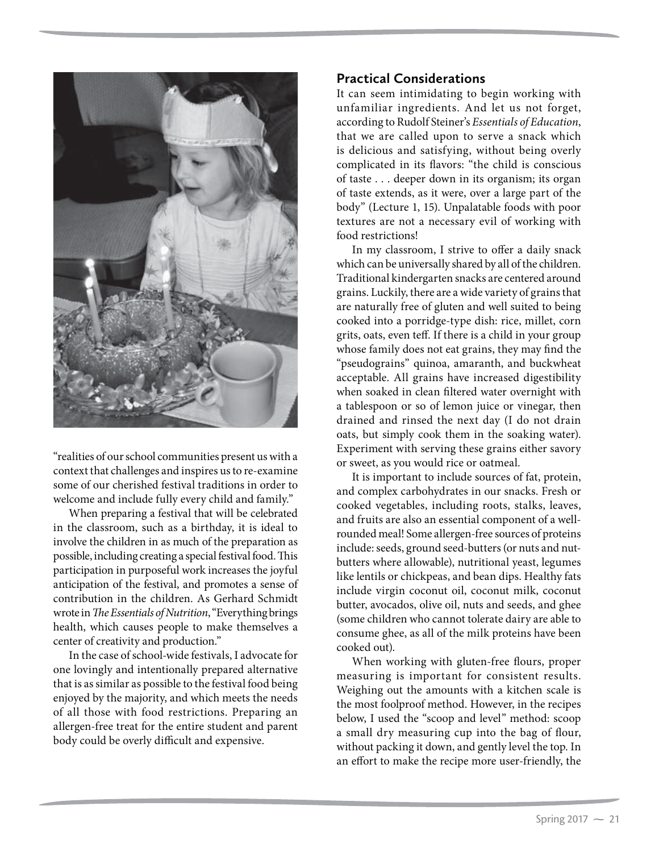

"realities of our school communities present us with a context that challenges and inspires us to re-examine some of our cherished festival traditions in order to welcome and include fully every child and family."

When preparing a festival that will be celebrated in the classroom, such as a birthday, it is ideal to involve the children in as much of the preparation as possible, including creating a special festival food. This participation in purposeful work increases the joyful anticipation of the festival, and promotes a sense of contribution in the children. As Gerhard Schmidt wrote in *The Essentials of Nutrition*, "Everything brings health, which causes people to make themselves a center of creativity and production."

In the case of school-wide festivals, I advocate for one lovingly and intentionally prepared alternative that is as similar as possible to the festival food being enjoyed by the majority, and which meets the needs of all those with food restrictions. Preparing an allergen-free treat for the entire student and parent body could be overly difficult and expensive.

## **Practical Considerations**

It can seem intimidating to begin working with unfamiliar ingredients. And let us not forget, according to Rudolf Steiner's *Essentials of Education*, that we are called upon to serve a snack which is delicious and satisfying, without being overly complicated in its flavors: "the child is conscious of taste . . . deeper down in its organism; its organ of taste extends, as it were, over a large part of the body" (Lecture 1, 15). Unpalatable foods with poor textures are not a necessary evil of working with food restrictions!

In my classroom, I strive to offer a daily snack which can be universally shared by all of the children. Traditional kindergarten snacks are centered around grains. Luckily, there are a wide variety of grains that are naturally free of gluten and well suited to being cooked into a porridge-type dish: rice, millet, corn grits, oats, even teff. If there is a child in your group whose family does not eat grains, they may find the "pseudograins" quinoa, amaranth, and buckwheat acceptable. All grains have increased digestibility when soaked in clean filtered water overnight with a tablespoon or so of lemon juice or vinegar, then drained and rinsed the next day (I do not drain oats, but simply cook them in the soaking water). Experiment with serving these grains either savory or sweet, as you would rice or oatmeal.

It is important to include sources of fat, protein, and complex carbohydrates in our snacks. Fresh or cooked vegetables, including roots, stalks, leaves, and fruits are also an essential component of a wellrounded meal! Some allergen-free sources of proteins include: seeds, ground seed-butters (or nuts and nutbutters where allowable), nutritional yeast, legumes like lentils or chickpeas, and bean dips. Healthy fats include virgin coconut oil, coconut milk, coconut butter, avocados, olive oil, nuts and seeds, and ghee (some children who cannot tolerate dairy are able to consume ghee, as all of the milk proteins have been cooked out).

When working with gluten-free flours, proper measuring is important for consistent results. Weighing out the amounts with a kitchen scale is the most foolproof method. However, in the recipes below, I used the "scoop and level" method: scoop a small dry measuring cup into the bag of flour, without packing it down, and gently level the top. In an effort to make the recipe more user-friendly, the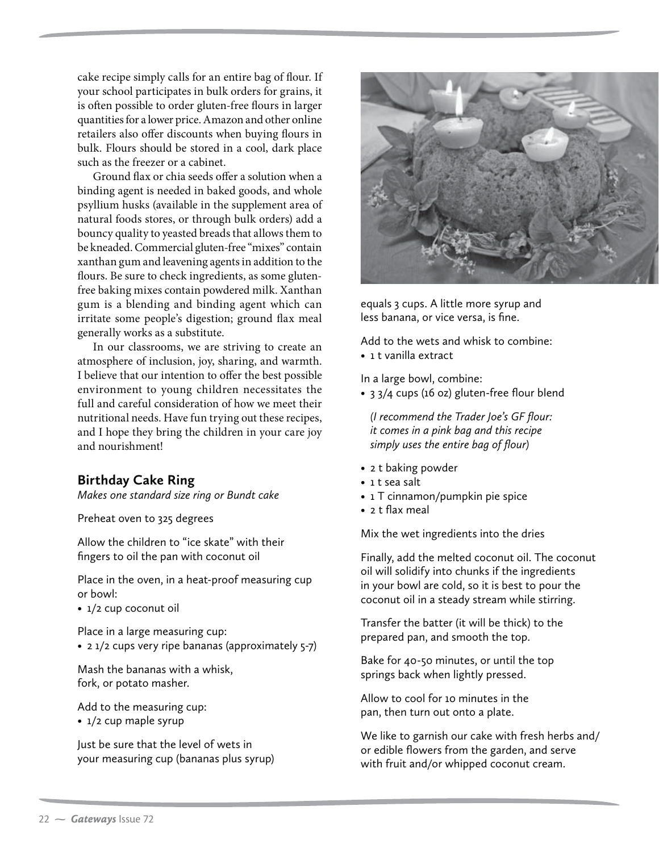cake recipe simply calls for an entire bag of flour. If your school participates in bulk orders for grains, it is often possible to order gluten-free flours in larger quantities for a lower price. Amazon and other online retailers also offer discounts when buying flours in bulk. Flours should be stored in a cool, dark place such as the freezer or a cabinet.

Ground flax or chia seeds offer a solution when a binding agent is needed in baked goods, and whole psyllium husks (available in the supplement area of natural foods stores, or through bulk orders) add a bouncy quality to yeasted breads that allows them to be kneaded. Commercial gluten-free "mixes" contain xanthan gum and leavening agents in addition to the flours. Be sure to check ingredients, as some glutenfree baking mixes contain powdered milk. Xanthan gum is a blending and binding agent which can irritate some people's digestion; ground flax meal generally works as a substitute.

In our classrooms, we are striving to create an atmosphere of inclusion, joy, sharing, and warmth. I believe that our intention to offer the best possible environment to young children necessitates the full and careful consideration of how we meet their nutritional needs. Have fun trying out these recipes, and I hope they bring the children in your care joy and nourishment!

#### **Birthday Cake Ring**

*Makes one standard size ring or Bundt cake*

Preheat oven to 325 degrees

Allow the children to "ice skate" with their fingers to oil the pan with coconut oil

Place in the oven, in a heat-proof measuring cup or bowl:

• 1/2 cup coconut oil

Place in a large measuring cup: • 2 1/2 cups very ripe bananas (approximately 5-7)

Mash the bananas with a whisk, fork, or potato masher.

Add to the measuring cup:

• 1/2 cup maple syrup

Just be sure that the level of wets in your measuring cup (bananas plus syrup)



equals 3 cups. A little more syrup and less banana, or vice versa, is fine.

Add to the wets and whisk to combine: • 1 t vanilla extract

In a large bowl, combine:

• 3 3/4 cups (16 oz) gluten-free flour blend

*(I recommend the Trader Joe's GF flour: it comes in a pink bag and this recipe simply uses the entire bag of flour)*

- 2 t baking powder
- 1 t sea salt
- 1 T cinnamon/pumpkin pie spice
- 2 t flax meal

Mix the wet ingredients into the dries

Finally, add the melted coconut oil. The coconut oil will solidify into chunks if the ingredients in your bowl are cold, so it is best to pour the coconut oil in a steady stream while stirring.

Transfer the batter (it will be thick) to the prepared pan, and smooth the top.

Bake for 40-50 minutes, or until the top springs back when lightly pressed.

Allow to cool for 10 minutes in the pan, then turn out onto a plate.

We like to garnish our cake with fresh herbs and/ or edible flowers from the garden, and serve with fruit and/or whipped coconut cream.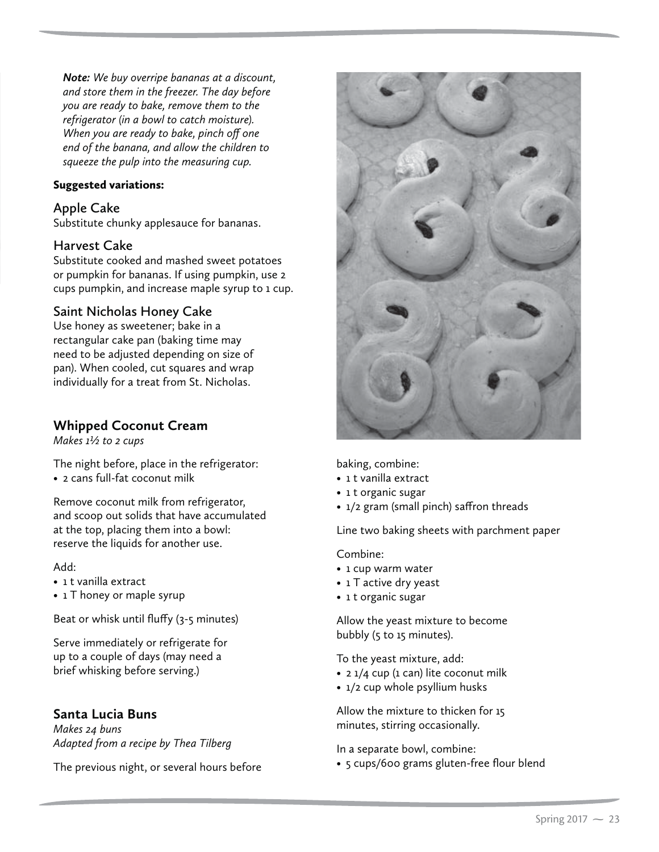*Note: We buy overripe bananas at a discount, and store them in the freezer. The day before you are ready to bake, remove them to the refrigerator (in a bowl to catch moisture). When you are ready to bake, pinch off one end of the banana, and allow the children to squeeze the pulp into the measuring cup.* 

#### Suggested variations:

#### **Apple Cake**

Substitute chunky applesauce for bananas.

#### **Harvest Cake**

Substitute cooked and mashed sweet potatoes or pumpkin for bananas. If using pumpkin, use 2 cups pumpkin, and increase maple syrup to 1 cup.

#### **Saint Nicholas Honey Cake**

Use honey as sweetener; bake in a rectangular cake pan (baking time may need to be adjusted depending on size of pan). When cooled, cut squares and wrap individually for a treat from St. Nicholas.

## **Whipped Coconut Cream**

*Makes 1½ to 2 cups*

The night before, place in the refrigerator: • 2 cans full-fat coconut milk

Remove coconut milk from refrigerator, and scoop out solids that have accumulated at the top, placing them into a bowl: reserve the liquids for another use.

#### Add:

- 1 t vanilla extract
- 1 T honey or maple syrup

Beat or whisk until fluffy (3-5 minutes)

Serve immediately or refrigerate for up to a couple of days (may need a brief whisking before serving.)

## **Santa Lucia Buns**

*Makes 24 buns Adapted from a recipe by Thea Tilberg*

The previous night, or several hours before



baking, combine:

- 1 t vanilla extract
- 1 t organic sugar
- 1/2 gram (small pinch) saffron threads

Line two baking sheets with parchment paper

Combine:

- 1 cup warm water
- 1 T active dry yeast
- 1 t organic sugar

Allow the yeast mixture to become bubbly (5 to 15 minutes).

To the yeast mixture, add:

- 2 1/4 cup (1 can) lite coconut milk
- 1/2 cup whole psyllium husks

Allow the mixture to thicken for 15 minutes, stirring occasionally.

In a separate bowl, combine:

• 5 cups/600 grams gluten-free flour blend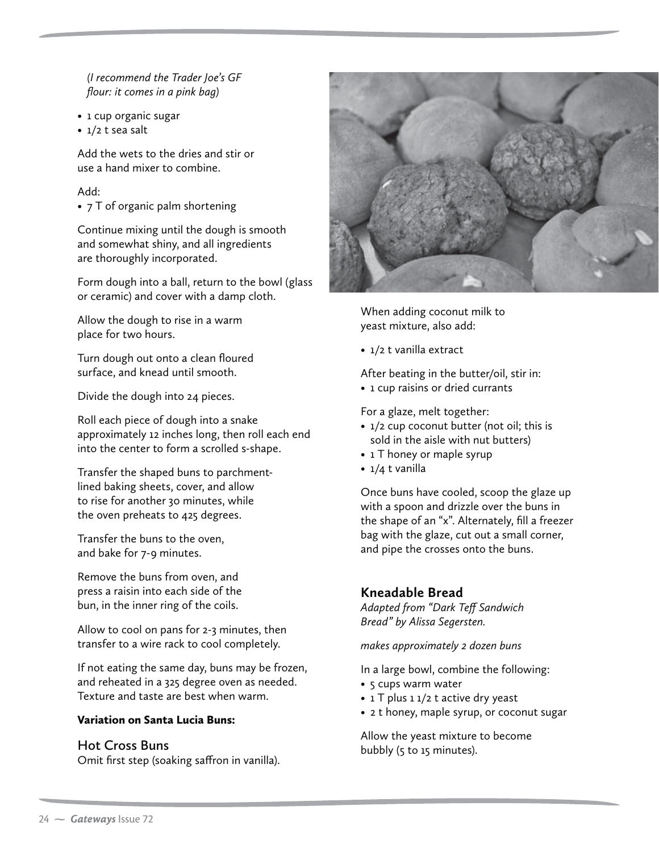*(I recommend the Trader Joe's GF flour: it comes in a pink bag)*

- 1 cup organic sugar
- 1/2 t sea salt

Add the wets to the dries and stir or use a hand mixer to combine.

#### Add:

• 7 T of organic palm shortening

Continue mixing until the dough is smooth and somewhat shiny, and all ingredients are thoroughly incorporated.

Form dough into a ball, return to the bowl (glass or ceramic) and cover with a damp cloth.

Allow the dough to rise in a warm place for two hours.

Turn dough out onto a clean floured surface, and knead until smooth.

Divide the dough into 24 pieces.

Roll each piece of dough into a snake approximately 12 inches long, then roll each end into the center to form a scrolled s-shape.

Transfer the shaped buns to parchmentlined baking sheets, cover, and allow to rise for another 30 minutes, while the oven preheats to 425 degrees.

Transfer the buns to the oven, and bake for 7-9 minutes.

Remove the buns from oven, and press a raisin into each side of the bun, in the inner ring of the coils.

Allow to cool on pans for 2-3 minutes, then transfer to a wire rack to cool completely.

If not eating the same day, buns may be frozen, and reheated in a 325 degree oven as needed. Texture and taste are best when warm.

#### Variation on Santa Lucia Buns:

#### **Hot Cross Buns**

Omit first step (soaking saffron in vanilla).



When adding coconut milk to yeast mixture, also add:

• 1/2 t vanilla extract

After beating in the butter/oil, stir in: • 1 cup raisins or dried currants

For a glaze, melt together:

- 1/2 cup coconut butter (not oil; this is sold in the aisle with nut butters)
- 1 T honey or maple syrup
- 1/4 t vanilla

Once buns have cooled, scoop the glaze up with a spoon and drizzle over the buns in the shape of an "x". Alternately, fill a freezer bag with the glaze, cut out a small corner, and pipe the crosses onto the buns.

## **Kneadable Bread**

*Adapted from "Dark Teff Sandwich Bread" by Alissa Segersten.*

*makes approximately 2 dozen buns*

In a large bowl, combine the following:

- 5 cups warm water
- 1 T plus 1 1/2 t active dry yeast
- 2 t honey, maple syrup, or coconut sugar

Allow the yeast mixture to become bubbly (5 to 15 minutes).